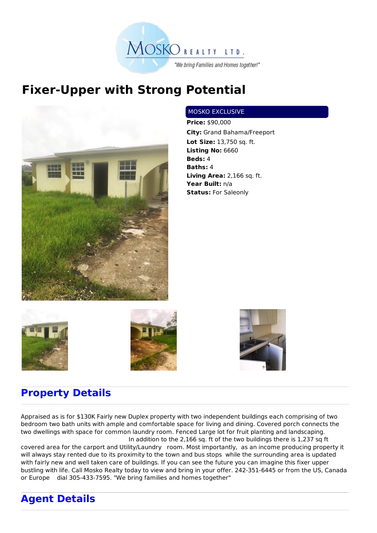

## **Fixer-Upper with Strong Potential**



## MOSKO EXCLUSIVE

**Price:** \$90,000 **City:** Grand Bahama/Freeport **Lot Size:** 13,750 sq. ft. **Listing No:** 6660 **Beds:** 4 **Baths:** 4 **Living Area:** 2,166 sq. ft. **Year Built:** n/a **Status:** For Saleonly







## **Property Details**

Appraised as is for \$130K Fairly new Duplex property with two independent buildings each comprising of two bedroom two bath units with ample and comfortable space for living and dining. Covered porch connects the two dwellings with space for common laundry room. Fenced Large lot for fruit planting and landscaping. In addition to the 2,166 sq. ft of the two buildings there is 1,237 sq ft

covered area for the carport and Utility/Laundry room. Most importantly, as an income producing property it will always stay rented due to its proximity to the town and bus stops while the surrounding area is updated with fairly new and well taken care of buildings. If you can see the future you can imagine this fixer upper bustling with life. Call Mosko Realty today to view and bring in your offer. 242-351-6445 or from the US, Canada or Europe dial 305-433-7595. "We bring families and homes together"

## **Agent Details**